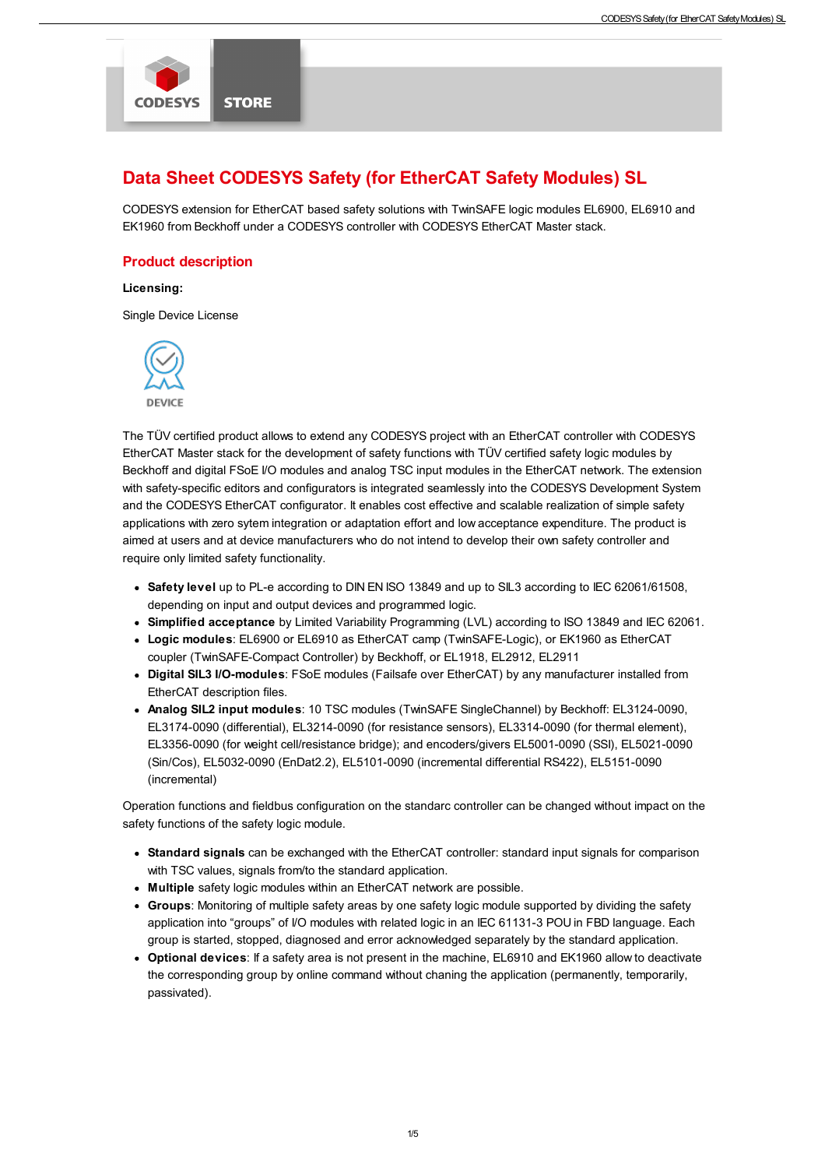

### Data Sheet CODESYS Safety (for EtherCAT Safety Modules) SL

CODESYS extension for EtherCAT based safety solutions with TwinSAFE logic modules EL6900, EL6910 and EK1960 from Beckhoff under a CODESYS controller with CODESYS EtherCAT Master stack.

### Product description

### Licensing:

Single Device License



The TÜV certified product allows to extend any CODESYS project with an EtherCAT controller with CODESYS EtherCAT Master stack for the development of safety functions with TÜV certified safety logic modules by Beckhoff and digital FSoE I/O modules and analog TSC input modules in the EtherCAT network. The extension with safety-specific editors and configurators is integrated seamlessly into the CODESYS Development System and the CODESYS EtherCAT configurator. It enables cost effective and scalable realization of simple safety applications with zero sytem integration or adaptation effort and low acceptance expenditure. The product is aimed at users and at device manufacturers who do not intend to develop their own safety controller and require only limited safety functionality.

- Safety level up to PL-e according to DIN EN ISO 13849 and up to SIL3 according to IEC 62061/61508, depending on input and output devices and programmed logic.
- Simplified acceptance by Limited Variability Programming (LVL) according to ISO 13849 and IEC 62061.
- Logic modules: EL6900 or EL6910 as EtherCAT camp (TwinSAFE-Logic), or EK1960 as EtherCAT coupler (TwinSAFE-Compact Controller) by Beckhoff, or EL1918, EL2912, EL2911
- Digital SIL3 I/O-modules: FSoE modules (Failsafe over EtherCAT) by any manufacturer installed from EtherCAT description files.
- Analog SIL2 input modules: 10 TSC modules (TwinSAFE SingleChannel) by Beckhoff: EL3124-0090. EL3174-0090 (differential), EL3214-0090 (for resistance sensors), EL3314-0090 (for thermal element), EL3356-0090 (for weight cell/resistance bridge); and encoders/givers EL5001-0090 (SSI), EL5021-0090 (Sin/Cos), EL5032-0090 (EnDat2.2), EL5101-0090 (incremental differential RS422), EL5151-0090 (incremental)

Operation functions and fieldbus configuration on the standarc controller can be changed without impact on the safety functions of the safety logic module.

- Standard signals can be exchanged with the EtherCAT controller: standard input signals for comparison with TSC values, signals from/to the standard application.
- Multiple safety logic modules within an EtherCAT network are possible.
- Groups: Monitoring of multiple safety areas by one safety logic module supported by dividing the safety application into "groups" of I/O modules with related logic in an IEC 61131-3 POU in FBD language. Each group is started, stopped, diagnosed and error acknowledged separately by the standard application.
- Optional devices: If a safety area is not present in the machine, EL6910 and EK1960 allow to deactivate the corresponding group by online command without chaning the application (permanently, temporarily, passivated).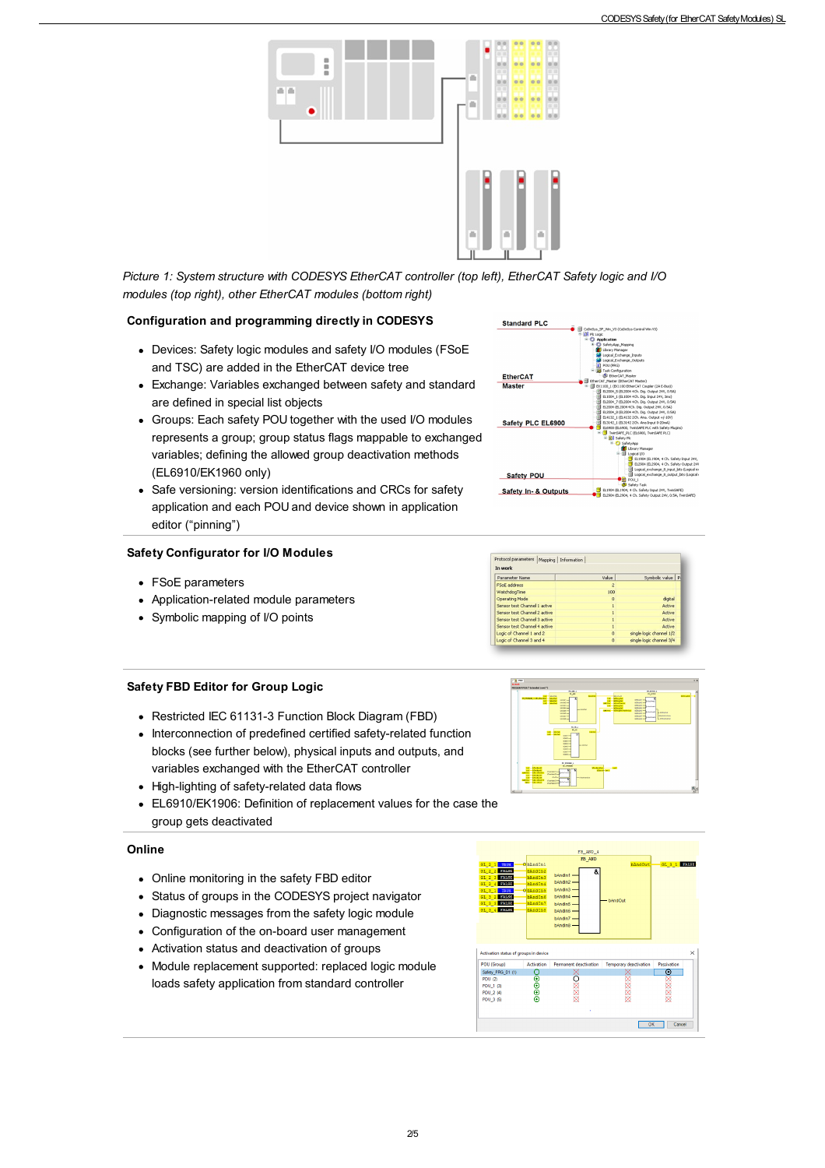

Picture 1: System structure with CODESYS EtherCAT controller (top left), EtherCAT Safety logic and I/O modules (top right), other EtherCAT modules (bottom right)

### Configuration and programming directly in CODESYS

- Devices: Safety logic modules and safety I/O modules (FSoE and TSC) are added in the EtherCAT device tree
- Exchange: Variables exchanged between safety and standard are defined in special list objects
- Groups: Each safety POU together with the used I/O modules represents a group; group status flags mappable to exchanged variables; defining the allowed group deactivation methods (EL6910/EK1960 only)
- Safe versioning: version identifications and CRCs for safety application and each POU and device shown in application editor ("pinning")

# Safety POU Safety In- & Outputs

re Intension | teformation |

### Safety Configurator for I/O Modules

- FSoE parameters
- Application-related module parameters
- Symbolic mapping of I/O points



### Safety FBD Editor for Group Logic

- Restricted IEC 61131-3 Function Block Diagram (FBD)
- Interconnection of predefined certified safety-related function blocks (see further below), physical inputs and outputs, and variables exchanged with the EtherCAT controller
- High-lighting of safety-related data flows
- EL6910/EK1906: Definition of replacement values for the case the group gets deactivated

### **Online**

- Online monitoring in the safety FBD editor
- Status of groups in the CODESYS project navigator
- Diagnostic messages from the safety logic module
- Configuration of the on-board user management
- Activation status and deactivation of groups
- Module replacement supported: replaced logic module loads safety application from standard controller



## EtherCAT Safety PLC EL6900

**Standard PLC**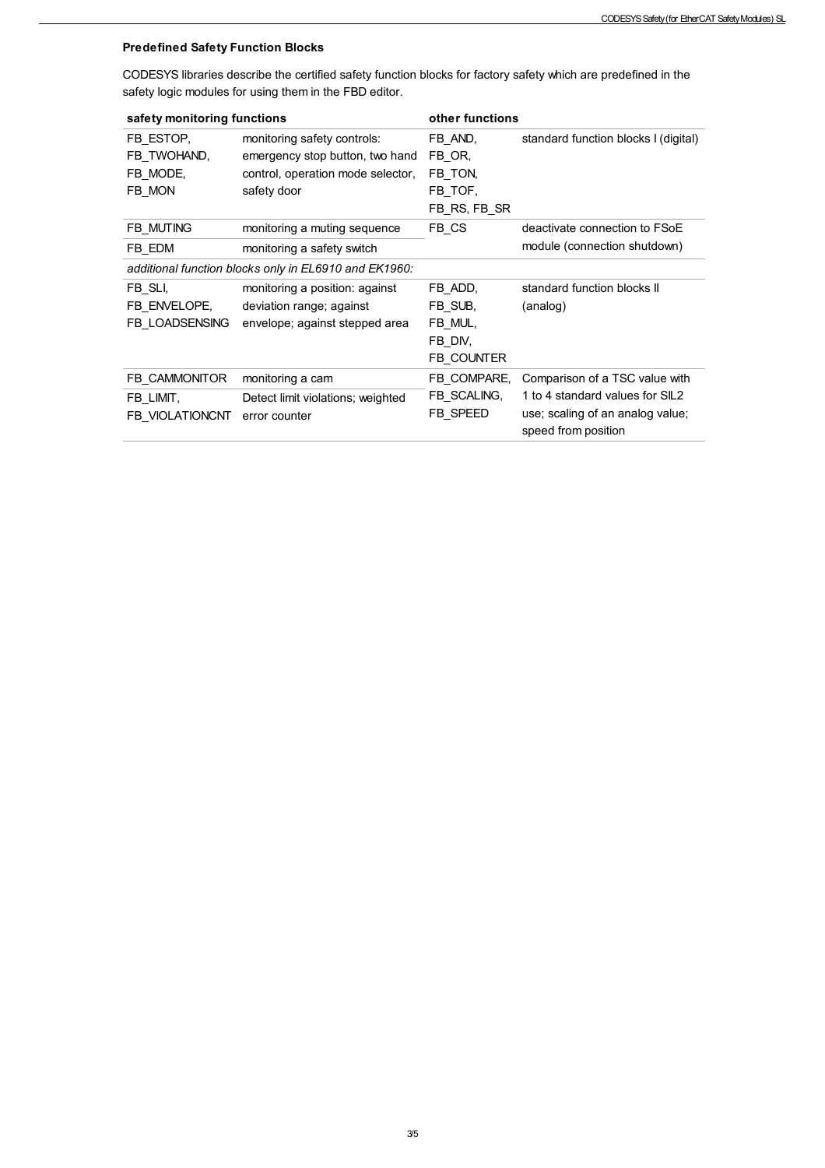### Predefined Safety Function Blocks

CODESYS libraries describe the certified safety function blocks for factory safety which are predefined in the safety logic modules for using them in the FBD editor.

| safety monitoring functions                           |                                   | other functions |                                      |  |
|-------------------------------------------------------|-----------------------------------|-----------------|--------------------------------------|--|
| FB ESTOP,                                             | monitoring safety controls:       | FB_AND,         | standard function blocks I (digital) |  |
| FB TWOHAND,                                           | emergency stop button, two hand   | FB OR,          |                                      |  |
| FB_MODE,                                              | control, operation mode selector, | FB TON,         |                                      |  |
| FB_MON                                                | safety door                       | FB TOF,         |                                      |  |
|                                                       |                                   | FB RS, FB SR    |                                      |  |
| FB_MUTING                                             | monitoring a muting sequence      | FB CS           | deactivate connection to FSoE        |  |
| FB EDM                                                | monitoring a safety switch        |                 | module (connection shutdown)         |  |
| additional function blocks only in EL6910 and EK1960: |                                   |                 |                                      |  |
| FB SLI,                                               | monitoring a position: against    | FB ADD,         | standard function blocks II          |  |
| FB ENVELOPE,                                          | deviation range; against          | FB SUB,         | (analog)                             |  |
| FB LOADSENSING                                        | envelope; against stepped area    | FB MUL,         |                                      |  |
|                                                       |                                   | FB DIV,         |                                      |  |
|                                                       |                                   | FB COUNTER      |                                      |  |
| FB CAMMONITOR                                         | monitoring a cam                  | FB COMPARE,     | Comparison of a TSC value with       |  |
| FB_LIMIT,                                             | Detect limit violations; weighted | FB SCALING,     | 1 to 4 standard values for SIL2      |  |
| FB VIOLATIONCNT                                       | error counter                     | FB SPEED        | use; scaling of an analog value;     |  |
|                                                       |                                   |                 | speed from position                  |  |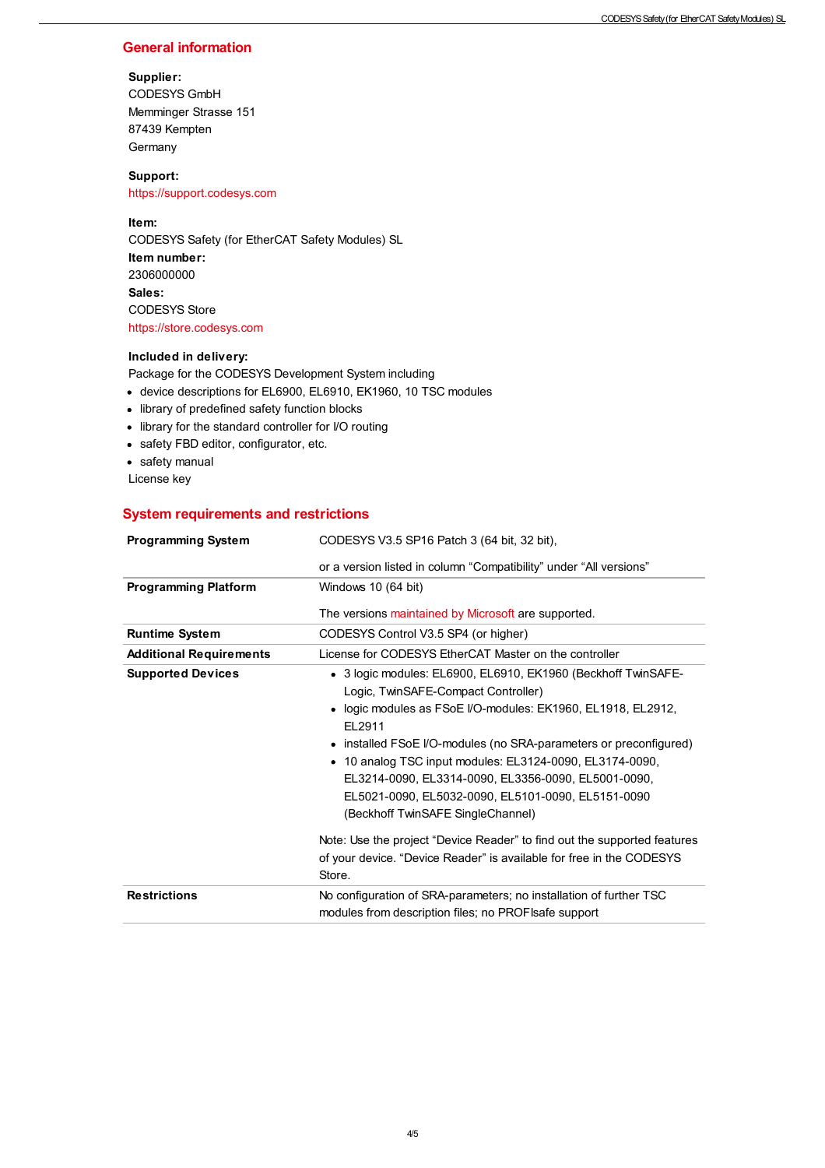### General information

#### Supplier:

CODESYS GmbH Memminger Strasse 151 87439 Kempten **Germany** 

### Support:

<https://support.codesys.com>

### Item:

CODESYS Safety (for EtherCAT Safety Modules) SL Item number: 2306000000 Sales: CODESYS Store <https://store.codesys.com>

### Included in delivery:

Package for the CODESYS Development System including

- device descriptions for EL6900, EL6910, EK1960, 10 TSC modules
- library of predefined safety function blocks
- library for the standard controller for I/O routing
- safety FBD editor, configurator, etc.
- safety manual
- License key

### System requirements and restrictions

| <b>Programming System</b>      | CODESYS V3.5 SP16 Patch 3 (64 bit, 32 bit),                                                                                                                                                                                                                                                                                                                                                                                                                       |
|--------------------------------|-------------------------------------------------------------------------------------------------------------------------------------------------------------------------------------------------------------------------------------------------------------------------------------------------------------------------------------------------------------------------------------------------------------------------------------------------------------------|
|                                | or a version listed in column "Compatibility" under "All versions"                                                                                                                                                                                                                                                                                                                                                                                                |
| <b>Programming Platform</b>    | Windows 10 (64 bit)                                                                                                                                                                                                                                                                                                                                                                                                                                               |
|                                | The versions maintained by Microsoft are supported.                                                                                                                                                                                                                                                                                                                                                                                                               |
| <b>Runtime System</b>          | CODESYS Control V3.5 SP4 (or higher)                                                                                                                                                                                                                                                                                                                                                                                                                              |
| <b>Additional Requirements</b> | License for CODESYS EtherCAT Master on the controller                                                                                                                                                                                                                                                                                                                                                                                                             |
| <b>Supported Devices</b>       | • 3 logic modules: EL6900, EL6910, EK1960 (Beckhoff TwinSAFE-<br>Logic, TwinSAFE-Compact Controller)<br>• logic modules as FSoE I/O-modules: EK1960, EL1918, EL2912,<br>EL2911<br>• installed FSoE I/O-modules (no SRA-parameters or preconfigured)<br>• 10 analog TSC input modules: EL3124-0090, EL3174-0090,<br>EL3214-0090, EL3314-0090, EL3356-0090, EL5001-0090,<br>EL5021-0090, EL5032-0090, EL5101-0090, EL5151-0090<br>(Beckhoff TwinSAFE SingleChannel) |
|                                | Note: Use the project "Device Reader" to find out the supported features<br>of your device. "Device Reader" is available for free in the CODESYS<br>Store.                                                                                                                                                                                                                                                                                                        |
| <b>Restrictions</b>            | No configuration of SRA-parameters; no installation of further TSC<br>modules from description files; no PROF safe support                                                                                                                                                                                                                                                                                                                                        |